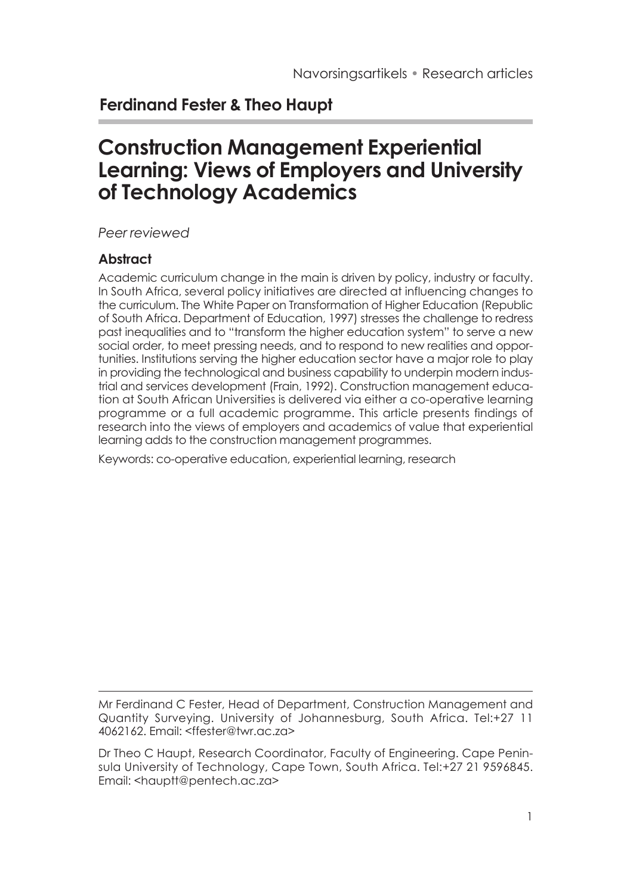## **Ferdinand Fester & Theo Haupt**

# **Construction Management Experiential Learning: Views of Employers and University of Technology Academics**

*Peer reviewed*

#### **Abstract**

Academic curriculum change in the main is driven by policy, industry or faculty. In South Africa, several policy initiatives are directed at influencing changes to the curriculum. The White Paper on Transformation of Higher Education (Republic of South Africa. Department of Education, 1997) stresses the challenge to redress past inequalities and to "transform the higher education system" to serve a new social order, to meet pressing needs, and to respond to new realities and opportunities. Institutions serving the higher education sector have a major role to play in providing the technological and business capability to underpin modern industrial and services development (Frain, 1992). Construction management education at South African Universities is delivered via either a co-operative learning programme or a full academic programme. This article presents findings of research into the views of employers and academics of value that experiential learning adds to the construction management programmes.

Keywords: co-operative education, experiential learning, research

Mr Ferdinand C Fester, Head of Department, Construction Management and Quantity Surveying. University of Johannesburg, South Africa. Tel:+27 11 4062162. Email: <ffester@twr.ac.za>

Dr Theo C Haupt, Research Coordinator, Faculty of Engineering. Cape Peninsula University of Technology, Cape Town, South Africa. Tel:+27 21 9596845. Email: <hauptt@pentech.ac.za>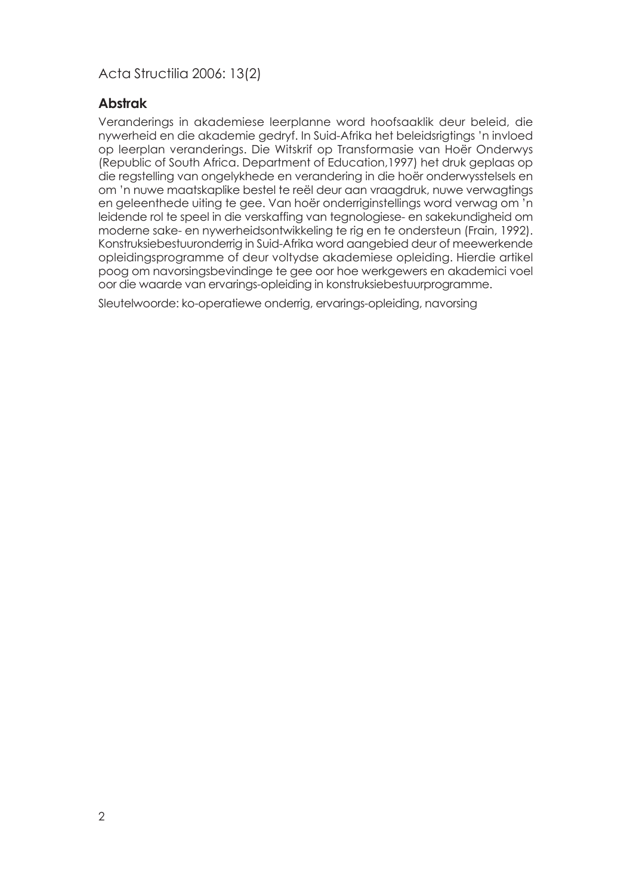#### **Abstrak**

Veranderings in akademiese leerplanne word hoofsaaklik deur beleid, die nywerheid en die akademie gedryf. In Suid-Afrika het beleidsrigtings 'n invloed op leerplan veranderings. Die Witskrif op Transformasie van Hoër Onderwys (Republic of South Africa. Department of Education,1997) het druk geplaas op die regstelling van ongelykhede en verandering in die hoër onderwysstelsels en om 'n nuwe maatskaplike bestel te reël deur aan vraagdruk, nuwe verwagtings en geleenthede uiting te gee. Van hoër onderriginstellings word verwag om 'n leidende rol te speel in die verskaffing van tegnologiese- en sakekundigheid om moderne sake- en nywerheidsontwikkeling te rig en te ondersteun (Frain, 1992). Konstruksiebestuuronderrig in Suid-Afrika word aangebied deur of meewerkende opleidingsprogramme of deur voltydse akademiese opleiding. Hierdie artikel poog om navorsingsbevindinge te gee oor hoe werkgewers en akademici voel oor die waarde van ervarings-opleiding in konstruksiebestuurprogramme.

Sleutelwoorde: ko-operatiewe onderrig, ervarings-opleiding, navorsing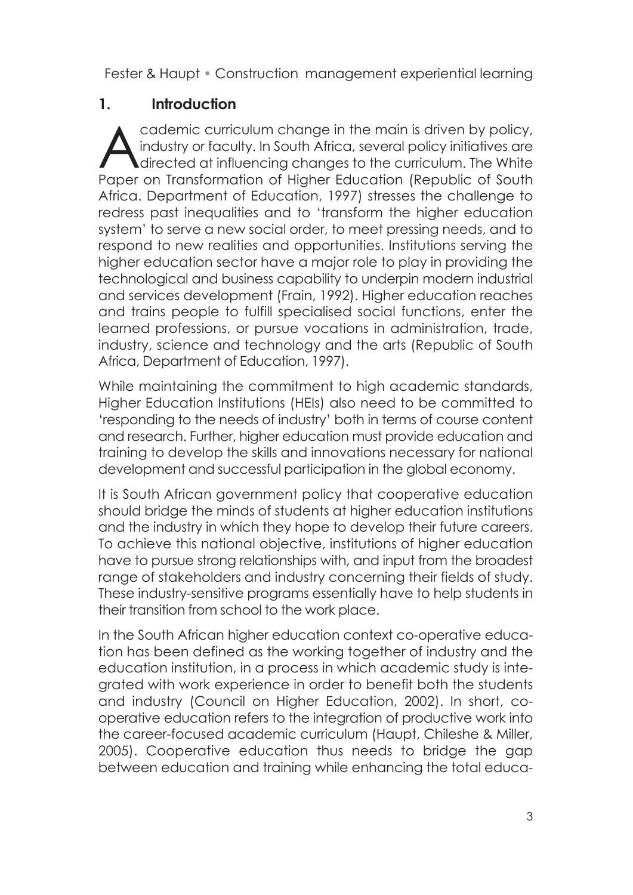### **1. Introduction**

Cademic curriculum change in the main is driven by policy,<br>
industry or faculty. In South Africa, several policy initiatives are<br>
directed at influencing changes to the curriculum. The White<br>
Range on Transformation of Hig industry or faculty. In South Africa, several policy initiatives are directed at influencing changes to the curriculum. The White Paper on Transformation of Higher Education (Republic of South Africa. Department of Education, 1997) stresses the challenge to redress past inequalities and to 'transform the higher education system' to serve a new social order, to meet pressing needs, and to respond to new realities and opportunities. Institutions serving the higher education sector have a major role to play in providing the technological and business capability to underpin modern industrial and services development (Frain, 1992). Higher education reaches and trains people to fulfill specialised social functions, enter the learned professions, or pursue vocations in administration, trade, industry, science and technology and the arts (Republic of South Africa, Department of Education, 1997).

While maintaining the commitment to high academic standards, Higher Education Institutions (HEIs) also need to be committed to 'responding to the needs of industry' both in terms of course content and research. Further, higher education must provide education and training to develop the skills and innovations necessary for national development and successful participation in the global economy.

It is South African government policy that cooperative education should bridge the minds of students at higher education institutions and the industry in which they hope to develop their future careers. To achieve this national objective, institutions of higher education have to pursue strong relationships with, and input from the broadest range of stakeholders and industry concerning their fields of study. These industry-sensitive programs essentially have to help students in their transition from school to the work place.

In the South African higher education context co-operative education has been defined as the working together of industry and the education institution, in a process in which academic study is integrated with work experience in order to benefit both the students and industry (Council on Higher Education, 2002). In short, cooperative education refers to the integration of productive work into the career-focused academic curriculum (Haupt, Chileshe & Miller, 2005). Cooperative education thus needs to bridge the gap between education and training while enhancing the total educa-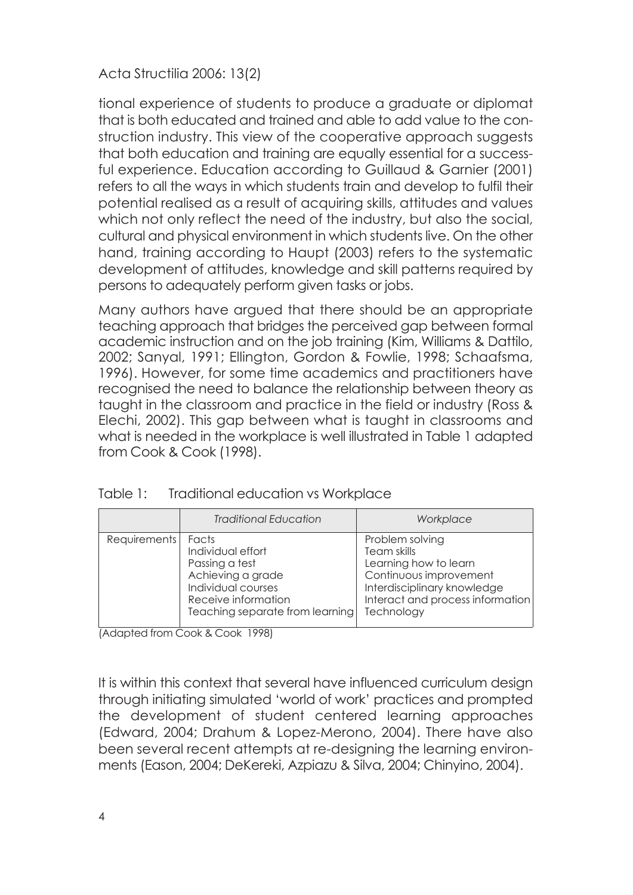tional experience of students to produce a graduate or diplomat that is both educated and trained and able to add value to the construction industry. This view of the cooperative approach suggests that both education and training are equally essential for a successful experience. Education according to Guillaud & Garnier (2001) refers to all the ways in which students train and develop to fulfil their potential realised as a result of acquiring skills, attitudes and values which not only reflect the need of the industry, but also the social, cultural and physical environment in which students live. On the other hand, training according to Haupt (2003) refers to the systematic development of attitudes, knowledge and skill patterns required by persons to adequately perform given tasks or jobs.

Many authors have argued that there should be an appropriate teaching approach that bridges the perceived gap between formal academic instruction and on the job training (Kim, Williams & Dattilo, 2002; Sanyal, 1991; Ellington, Gordon & Fowlie, 1998; Schaafsma, 1996). However, for some time academics and practitioners have recognised the need to balance the relationship between theory as taught in the classroom and practice in the field or industry (Ross & Elechi, 2002). This gap between what is taught in classrooms and what is needed in the workplace is well illustrated in Table 1 adapted from Cook & Cook (1998).

|              | <b>Traditional Education</b>                                                                                                                      | Workplace                                                                                                                                                          |
|--------------|---------------------------------------------------------------------------------------------------------------------------------------------------|--------------------------------------------------------------------------------------------------------------------------------------------------------------------|
| Requirements | Facts<br>Individual effort<br>Passing a test<br>Achieving a grade<br>Individual courses<br>Receive information<br>Teaching separate from learning | Problem solving<br>Team skills<br>Learning how to learn<br>Continuous improvement<br>Interdisciplinary knowledge<br>Interact and process information<br>Technology |

| Table 1: | Traditional education vs Workplace |  |
|----------|------------------------------------|--|
|          |                                    |  |

(Adapted from Cook & Cook 1998)

It is within this context that several have influenced curriculum design through initiating simulated 'world of work' practices and prompted the development of student centered learning approaches (Edward, 2004; Drahum & Lopez-Merono, 2004). There have also been several recent attempts at re-designing the learning environments (Eason, 2004; DeKereki, Azpiazu & Silva, 2004; Chinyino, 2004).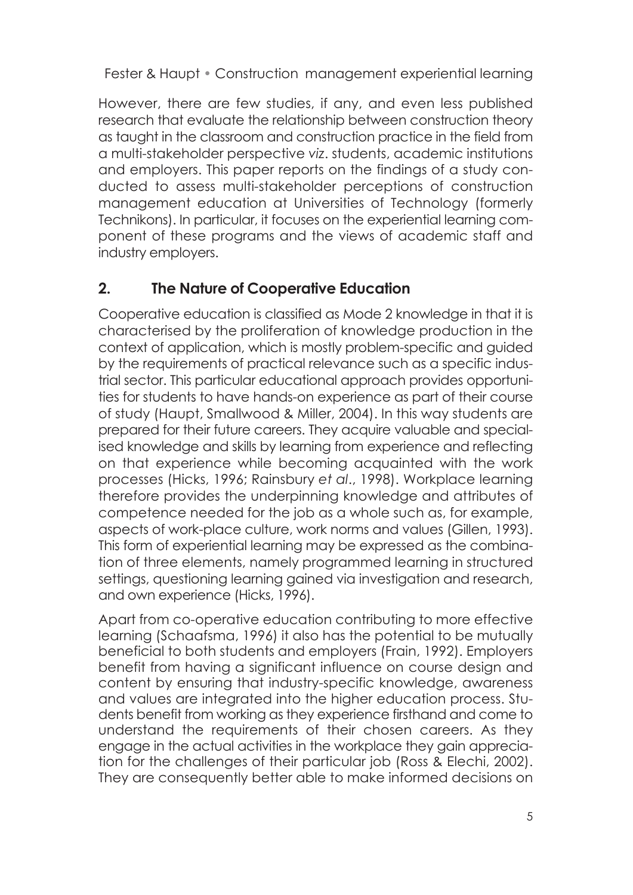However, there are few studies, if any, and even less published research that evaluate the relationship between construction theory as taught in the classroom and construction practice in the field from a multi-stakeholder perspective *viz*. students, academic institutions and employers. This paper reports on the findings of a study conducted to assess multi-stakeholder perceptions of construction management education at Universities of Technology (formerly Technikons). In particular, it focuses on the experiential learning component of these programs and the views of academic staff and industry employers.

## **2. The Nature of Cooperative Education**

Cooperative education is classified as Mode 2 knowledge in that it is characterised by the proliferation of knowledge production in the context of application, which is mostly problem-specific and guided by the requirements of practical relevance such as a specific industrial sector. This particular educational approach provides opportunities for students to have hands-on experience as part of their course of study (Haupt, Smallwood & Miller, 2004). In this way students are prepared for their future careers. They acquire valuable and specialised knowledge and skills by learning from experience and reflecting on that experience while becoming acquainted with the work processes (Hicks, 1996; Rainsbury *et al*., 1998). Workplace learning therefore provides the underpinning knowledge and attributes of competence needed for the job as a whole such as, for example, aspects of work-place culture, work norms and values (Gillen, 1993). This form of experiential learning may be expressed as the combination of three elements, namely programmed learning in structured settings, questioning learning gained via investigation and research, and own experience (Hicks, 1996).

Apart from co-operative education contributing to more effective learning (Schaafsma, 1996) it also has the potential to be mutually beneficial to both students and employers (Frain, 1992). Employers benefit from having a significant influence on course design and content by ensuring that industry-specific knowledge, awareness and values are integrated into the higher education process. Students benefit from working as they experience firsthand and come to understand the requirements of their chosen careers. As they engage in the actual activities in the workplace they gain appreciation for the challenges of their particular job (Ross & Elechi, 2002). They are consequently better able to make informed decisions on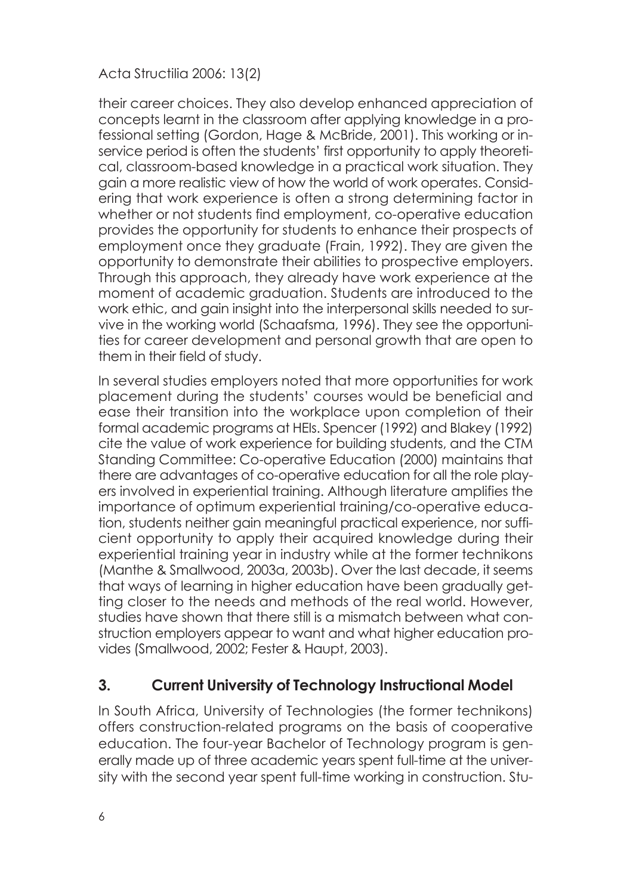their career choices. They also develop enhanced appreciation of concepts learnt in the classroom after applying knowledge in a professional setting (Gordon, Hage & McBride, 2001). This working or inservice period is often the students' first opportunity to apply theoretical, classroom-based knowledge in a practical work situation. They gain a more realistic view of how the world of work operates. Considering that work experience is often a strong determining factor in whether or not students find employment, co-operative education provides the opportunity for students to enhance their prospects of employment once they graduate (Frain, 1992). They are given the opportunity to demonstrate their abilities to prospective employers. Through this approach, they already have work experience at the moment of academic graduation. Students are introduced to the work ethic, and gain insight into the interpersonal skills needed to survive in the working world (Schaafsma, 1996). They see the opportunities for career development and personal growth that are open to them in their field of study.

In several studies employers noted that more opportunities for work placement during the students' courses would be beneficial and ease their transition into the workplace upon completion of their formal academic programs at HEIs. Spencer (1992) and Blakey (1992) cite the value of work experience for building students, and the CTM Standing Committee: Co-operative Education (2000) maintains that there are advantages of co-operative education for all the role players involved in experiential training. Although literature amplifies the importance of optimum experiential training/co-operative education, students neither gain meaningful practical experience, nor sufficient opportunity to apply their acquired knowledge during their experiential training year in industry while at the former technikons (Manthe & Smallwood, 2003a, 2003b). Over the last decade, it seems that ways of learning in higher education have been gradually getting closer to the needs and methods of the real world. However, studies have shown that there still is a mismatch between what construction employers appear to want and what higher education provides (Smallwood, 2002; Fester & Haupt, 2003).

### **3. Current University of Technology Instructional Model**

In South Africa, University of Technologies (the former technikons) offers construction-related programs on the basis of cooperative education. The four-year Bachelor of Technology program is generally made up of three academic years spent full-time at the university with the second year spent full-time working in construction. Stu-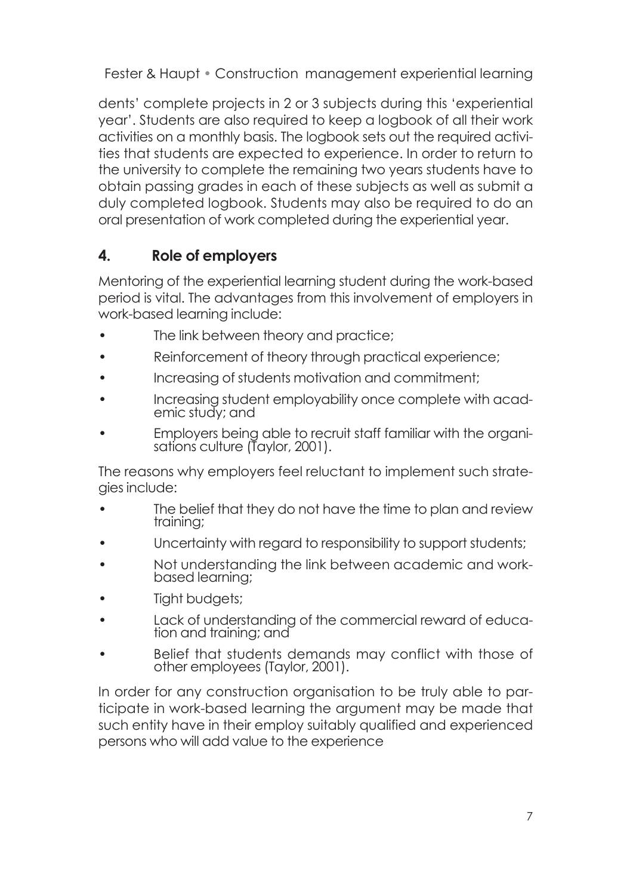dents' complete projects in 2 or 3 subjects during this 'experiential year'. Students are also required to keep a logbook of all their work activities on a monthly basis. The logbook sets out the required activities that students are expected to experience. In order to return to the university to complete the remaining two years students have to obtain passing grades in each of these subjects as well as submit a duly completed logbook. Students may also be required to do an oral presentation of work completed during the experiential year.

## **4. Role of employers**

Mentoring of the experiential learning student during the work-based period is vital. The advantages from this involvement of employers in work-based learning include:

- The link between theory and practice;
- Reinforcement of theory through practical experience;
- Increasing of students motivation and commitment;
- Increasing student employability once complete with acad- emic study; and
- Employers being able to recruit staff familiar with the organi- sations culture (Taylor, 2001).

The reasons why employers feel reluctant to implement such strategies include:

- The belief that they do not have the time to plan and review training;
- Uncertainty with regard to responsibility to support students:
- Not understanding the link between academic and work- based learning;
- Tight budgets:
- Lack of understanding of the commercial reward of educa- tion and training; and
- Belief that students demands may conflict with those of other employees (Taylor, 2001).

In order for any construction organisation to be truly able to participate in work-based learning the argument may be made that such entity have in their employ suitably qualified and experienced persons who will add value to the experience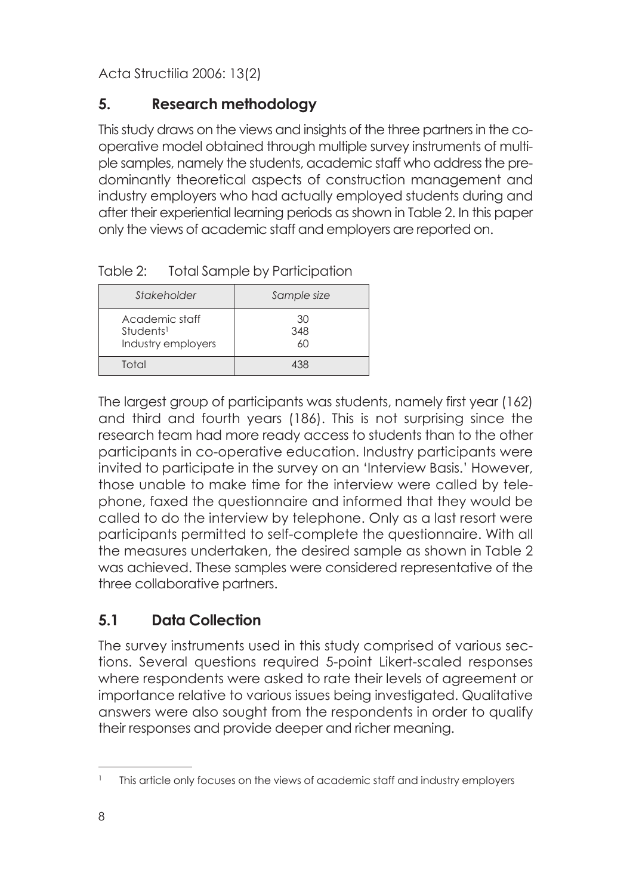## **5. Research methodology**

This study draws on the views and insights of the three partners in the cooperative model obtained through multiple survey instruments of multiple samples, namely the students, academic staff who address the predominantly theoretical aspects of construction management and industry employers who had actually employed students during and after their experiential learning periods as shown in Table 2. In this paper only the views of academic staff and employers are reported on.

| Stakeholder                                                   | Sample size     |
|---------------------------------------------------------------|-----------------|
| Academic staff<br>Students <sup>1</sup><br>Industry employers | 30<br>348<br>60 |
| Total                                                         | 138             |

Table 2: Total Sample by Participation

The largest group of participants was students, namely first year (162) and third and fourth years (186). This is not surprising since the research team had more ready access to students than to the other participants in co-operative education. Industry participants were invited to participate in the survey on an 'Interview Basis.' However, those unable to make time for the interview were called by telephone, faxed the questionnaire and informed that they would be called to do the interview by telephone. Only as a last resort were participants permitted to self-complete the questionnaire. With all the measures undertaken, the desired sample as shown in Table 2 was achieved. These samples were considered representative of the three collaborative partners.

# **5.1 Data Collection**

The survey instruments used in this study comprised of various sections. Several questions required 5-point Likert-scaled responses where respondents were asked to rate their levels of agreement or importance relative to various issues being investigated. Qualitative answers were also sought from the respondents in order to qualify their responses and provide deeper and richer meaning.

<sup>&</sup>lt;sup>1</sup> This article only focuses on the views of academic staff and industry employers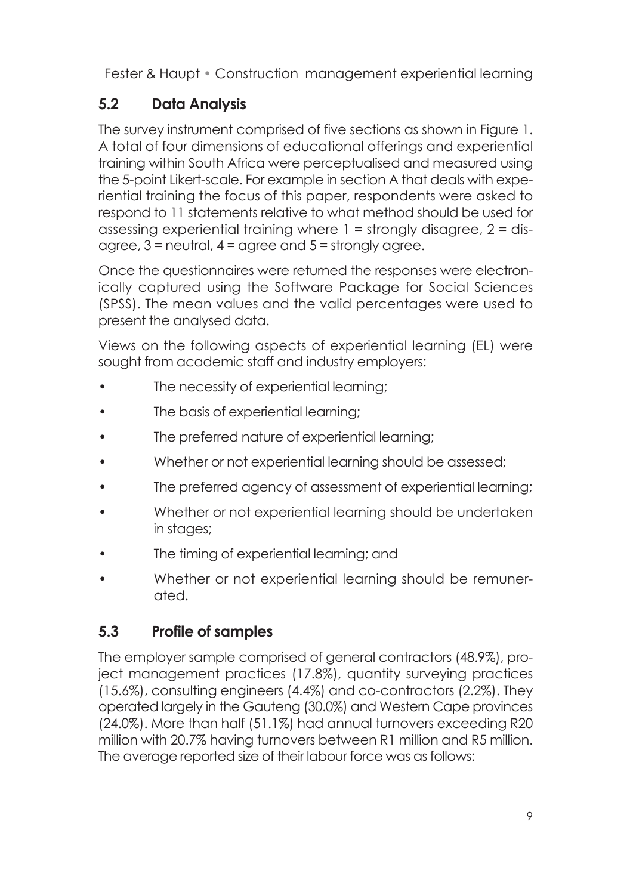## **5.2 Data Analysis**

The survey instrument comprised of five sections as shown in Figure 1. A total of four dimensions of educational offerings and experiential training within South Africa were perceptualised and measured using the 5-point Likert-scale. For example in section A that deals with experiential training the focus of this paper, respondents were asked to respond to 11 statements relative to what method should be used for assessing experiential training where 1 = strongly disagree, 2 = disagree,  $3$  = neutral,  $4$  = garee and  $5$  = strongly garee.

Once the questionnaires were returned the responses were electronically captured using the Software Package for Social Sciences (SPSS). The mean values and the valid percentages were used to present the analysed data.

Views on the following aspects of experiential learning (EL) were sought from academic staff and industry employers:

- The necessity of experiential learning;
- The basis of experiential learning;
- The preferred nature of experiential learning;
- Whether or not experiential learning should be assessed;
- The preferred agency of assessment of experiential learning;
- Whether or not experiential learning should be undertaken in stages;
- The timing of experiential learning; and
- Whether or not experiential learning should be remunerated.

# **5.3 Profile of samples**

The employer sample comprised of general contractors (48.9%), project management practices (17.8%), quantity surveying practices (15.6%), consulting engineers (4.4%) and co-contractors (2.2%). They operated largely in the Gauteng (30.0%) and Western Cape provinces (24.0%). More than half (51.1%) had annual turnovers exceeding R20 million with 20.7% having turnovers between R1 million and R5 million. The average reported size of their labour force was as follows: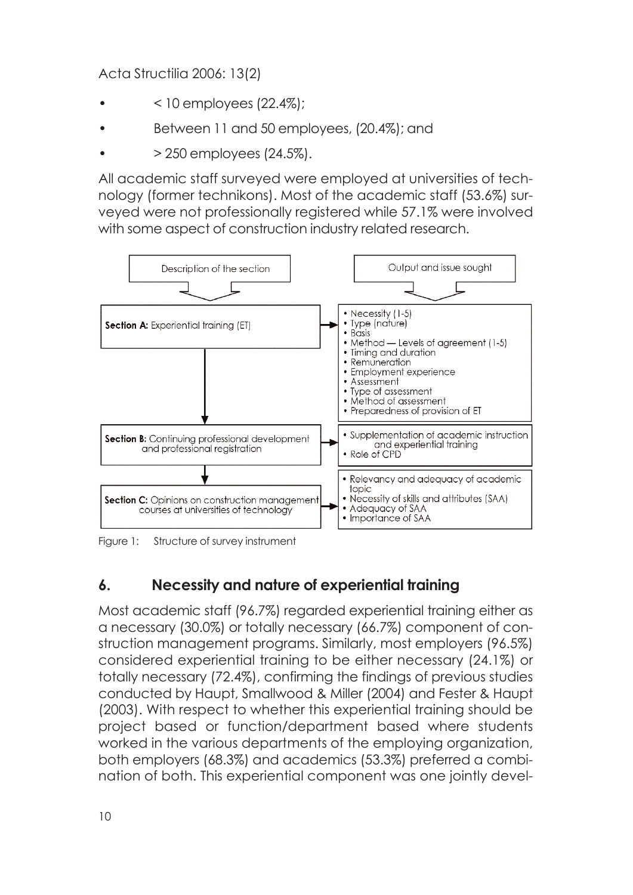- $<$  10 employees (22.4%);
- Between 11 and 50 employees, (20.4%); and
- > 250 employees (24.5%).

All academic staff surveyed were employed at universities of technology (former technikons). Most of the academic staff (53.6%) surveyed were not professionally registered while 57.1% were involved with some aspect of construction industry related research.



Figure 1: Structure of survey instrument

## **6. Necessity and nature of experiential training**

Most academic staff (96.7%) regarded experiential training either as a necessary (30.0%) or totally necessary (66.7%) component of construction management programs. Similarly, most employers (96.5%) considered experiential training to be either necessary (24.1%) or totally necessary (72.4%), confirming the findings of previous studies conducted by Haupt, Smallwood & Miller (2004) and Fester & Haupt (2003). With respect to whether this experiential training should be project based or function/department based where students worked in the various departments of the employing organization, both employers (68.3%) and academics (53.3%) preferred a combination of both. This experiential component was one jointly devel-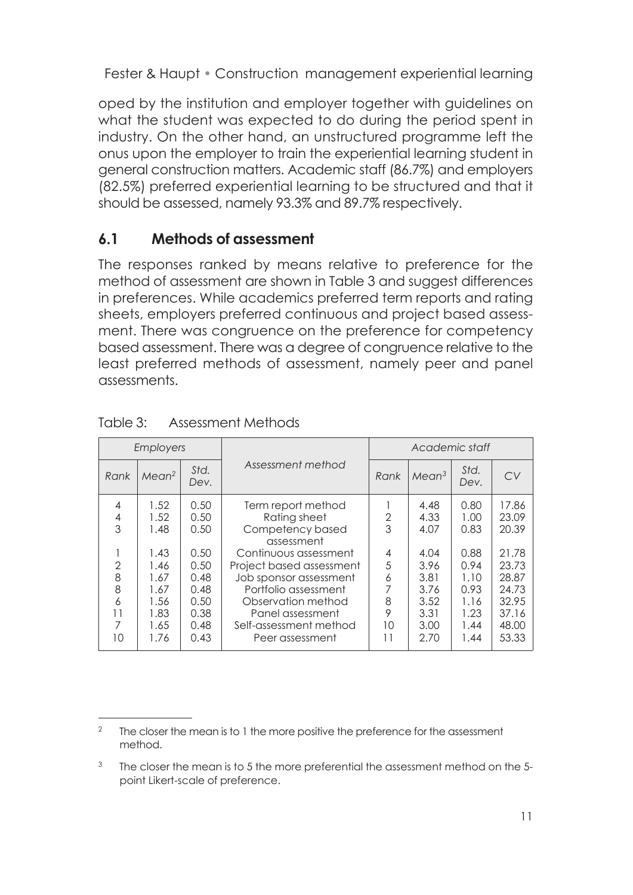oped by the institution and employer together with guidelines on what the student was expected to do during the period spent in industry. On the other hand, an unstructured programme left the onus upon the employer to train the experiential learning student in general construction matters. Academic staff (86.7%) and employers (82.5%) preferred experiential learning to be structured and that it should be assessed, namely 93.3% and 89.7% respectively.

## **6.1 Methods of assessment**

The responses ranked by means relative to preference for the method of assessment are shown in Table 3 and suggest differences in preferences. While academics preferred term reports and rating sheets, employers preferred continuous and project based assessment. There was congruence on the preference for competency based assessment. There was a degree of congruence relative to the least preferred methods of assessment, namely peer and panel assessments.

| <b>Employers</b> |                   |              |                          | Academic staff |                   |              |       |
|------------------|-------------------|--------------|--------------------------|----------------|-------------------|--------------|-------|
| Rank             | Mean <sup>2</sup> | Std.<br>Dev. | Assessment method        | Rank           | Mean <sup>3</sup> | Std.<br>Dev. | CV    |
| $\overline{4}$   | 1.52              | 0.50         | Term report method       |                | 4.48              | 0.80         | 17.86 |
| 4                | 1.52              | 0.50         | Rating sheet             | 2              | 4.33              | 1.00         | 23.09 |
| 3                | 1.48              | 0.50         | Competency based         | 3              | 4.07              | 0.83         | 20.39 |
|                  |                   |              | assessment               |                |                   |              |       |
|                  | 1.43              | 0.50         | Continuous assessment    | 4              | 4.04              | 0.88         | 21.78 |
| $\overline{2}$   | 1.46              | 0.50         | Project based assessment | 5              | 3.96              | 0.94         | 23.73 |
| 8                | 1.67              | 0.48         | Job sponsor assessment   | 6              | 3.81              | 1.10         | 28.87 |
| 8                | 1.67              | 0.48         | Portfolio assessment     |                | 3.76              | 0.93         | 24.73 |
| 6                | 1.56              | 0.50         | Observation method       | 8              | 3.52              | 1.16         | 32.95 |
| 11               | 1.83              | 0.38         | Panel assessment         | 9              | 3.31              | 1.23         | 37.16 |
| 7                | 1.65              | 0.48         | Self-assessment method   | 10             | 3.00              | 1.44         | 48.00 |
| 10               | 1.76              | 0.43         | Peer assessment          | 11             | 2.70              | 1.44         | 53.33 |

#### Table 3: Assessment Methods

<sup>&</sup>lt;sup>2</sup> The closer the mean is to 1 the more positive the preference for the assessment method.

 $3$  The closer the mean is to 5 the more preferential the assessment method on the 5point Likert-scale of preference.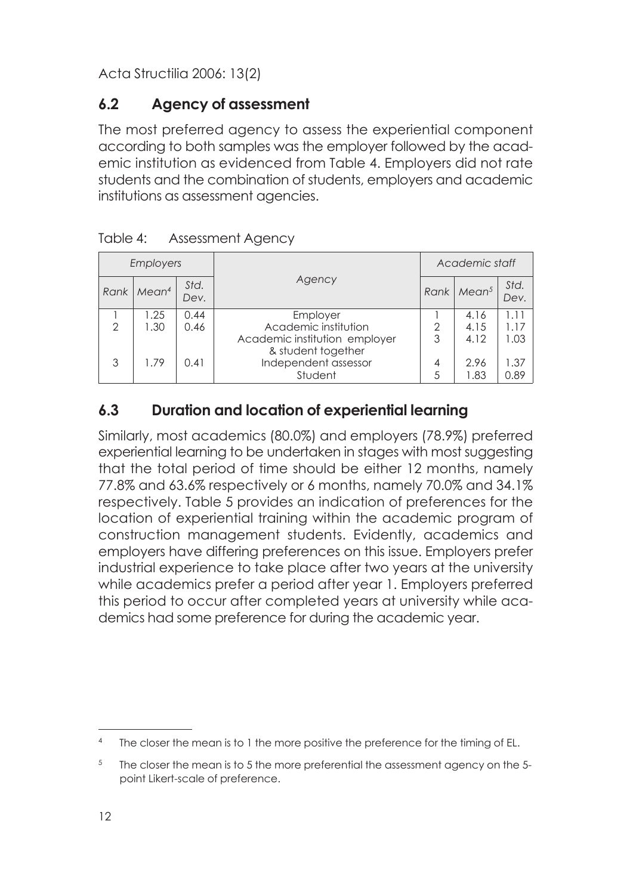## **6.2 Agency of assessment**

The most preferred agency to assess the experiential component according to both samples was the employer followed by the academic institution as evidenced from Table 4. Employers did not rate students and the combination of students, employers and academic institutions as assessment agencies.

| Employers     |                   |              |                                                                                         |        | Academic staff       |                      |  |
|---------------|-------------------|--------------|-----------------------------------------------------------------------------------------|--------|----------------------|----------------------|--|
| Rank          | Mean <sup>4</sup> | Std.<br>Dev. | Agency<br>Rank                                                                          |        | Mean <sup>5</sup>    | Std.<br>Dev.         |  |
| $\mathcal{P}$ | 1.25<br>1.30      | 0.44<br>0.46 | Employer<br>Academic institution<br>Academic institution employer<br>& student together | 2<br>3 | 4.16<br>4.15<br>4.12 | 1.11<br>1 17<br>1.03 |  |
| 3             | 1.79              | 0.41         | Independent assessor<br>Student                                                         | 4<br>5 | 2.96<br>1.83         | 1.37<br>0.89         |  |

| Table 4: | <b>Assessment Agency</b> |
|----------|--------------------------|
|----------|--------------------------|

## **6.3 Duration and location of experiential learning**

Similarly, most academics (80.0%) and employers (78.9%) preferred experiential learning to be undertaken in stages with most suggesting that the total period of time should be either 12 months, namely 77.8% and 63.6% respectively or 6 months, namely 70.0% and 34.1% respectively. Table 5 provides an indication of preferences for the location of experiential training within the academic program of construction management students. Evidently, academics and employers have differing preferences on this issue. Employers prefer industrial experience to take place after two years at the university while academics prefer a period after year 1. Employers preferred this period to occur after completed years at university while academics had some preference for during the academic year.

The closer the mean is to 1 the more positive the preference for the timing of EL.

 $5$  The closer the mean is to 5 the more preferential the assessment agency on the 5point Likert-scale of preference.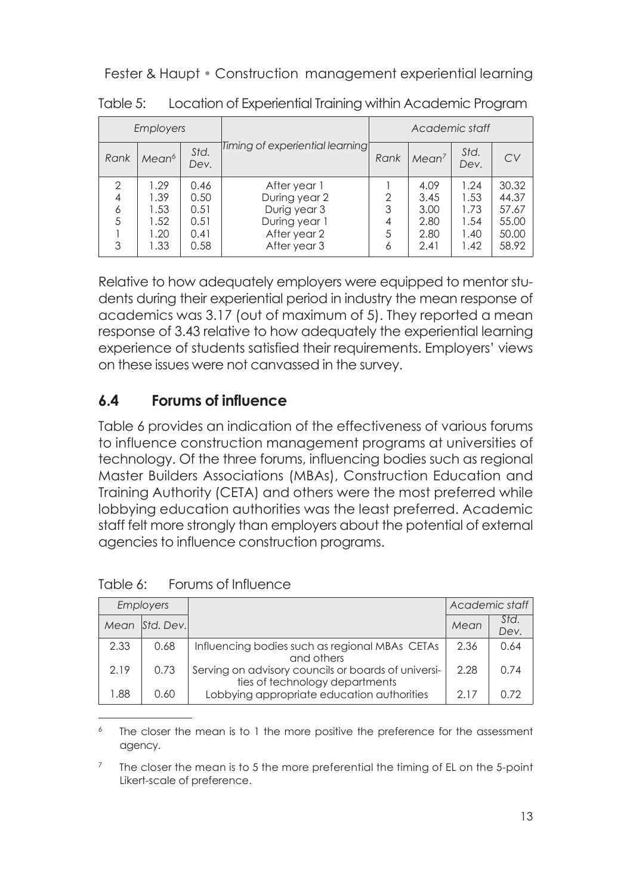| <b>Employers</b> |                   |              |                                 | Academic staff |                   |              |       |
|------------------|-------------------|--------------|---------------------------------|----------------|-------------------|--------------|-------|
| Rank             | Mean <sup>6</sup> | Std.<br>Dev. | Timing of experiential learning | Rank           | Mean <sup>7</sup> | Std.<br>Dev. | CV    |
| 2                | 1.29              | 0.46         | After year 1                    |                | 4.09              | 1.24         | 30.32 |
| $\overline{4}$   | 1.39              | 0.50         | During year 2                   | 2              | 3.45              | 1.53         | 44.37 |
| 6                | 1.53              | 0.51         | Durig year 3                    | 3              | 3.00              | 1.73         | 57.67 |
| 5                | 1.52              | 0.51         | During year 1                   | 4              | 2.80              | 1.54         | 55.00 |
|                  | 1.20              | 0.41         | After year 2                    | 5              | 2.80              | 1.40         | 50.00 |
| 3                | 1.33              | 0.58         | After year 3                    | 6              | 2.41              | 1.42         | 58.92 |

Table 5: Location of Experiential Training within Academic Program

Relative to how adequately employers were equipped to mentor students during their experiential period in industry the mean response of academics was 3.17 (out of maximum of 5). They reported a mean response of 3.43 relative to how adequately the experiential learning experience of students satisfied their requirements. Employers' views on these issues were not canvassed in the survey.

## **6.4 Forums of influence**

Table 6 provides an indication of the effectiveness of various forums to influence construction management programs at universities of technology. Of the three forums, influencing bodies such as regional Master Builders Associations (MBAs), Construction Education and Training Authority (CETA) and others were the most preferred while lobbying education authorities was the least preferred. Academic staff felt more strongly than employers about the potential of external agencies to influence construction programs.

|      | <b>Employers</b> |                                                                                       |      | Academic staff |
|------|------------------|---------------------------------------------------------------------------------------|------|----------------|
|      | Mean Std. Dev.   |                                                                                       | Mean | Std.<br>Dev.   |
| 2.33 | 0.68             | Influencing bodies such as regional MBAs CETAs<br>and others                          | 2.36 | 0.64           |
| 219  | 0.73             | Serving on advisory councils or boards of universi-<br>ties of technology departments | 2.28 | 0.74           |
| 1.88 | 0.60             | Lobbying appropriate education authorities                                            | 217  | O 72           |

Table 6: Forums of Influence

 $6$  The closer the mean is to 1 the more positive the preference for the assessment agency.

<sup>7</sup> The closer the mean is to 5 the more preferential the timing of EL on the 5-point Likert-scale of preference.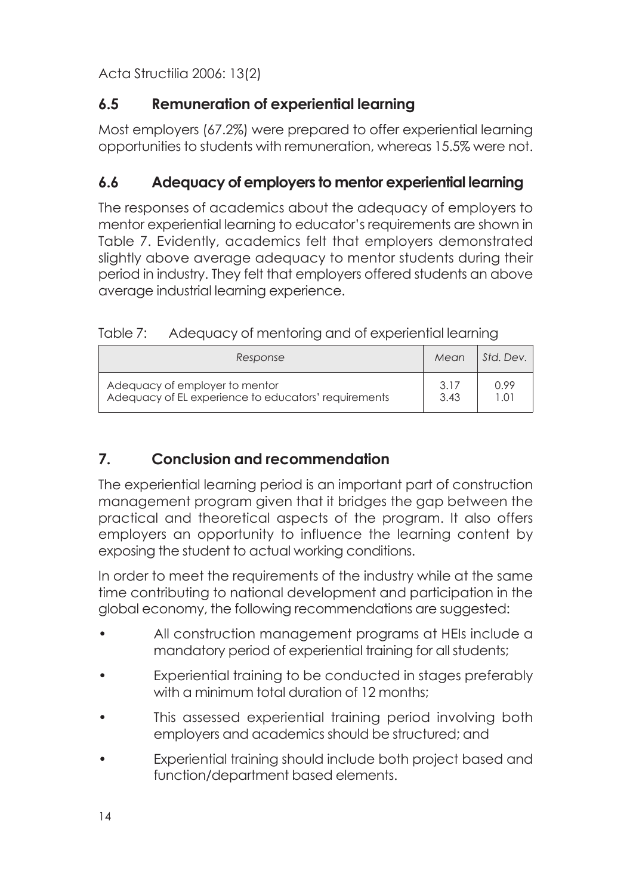## **6.5 Remuneration of experiential learning**

Most employers (67.2%) were prepared to offer experiential learning opportunities to students with remuneration, whereas 15.5% were not.

## **6.6 Adequacy of employers to mentor experiential learning**

The responses of academics about the adequacy of employers to mentor experiential learning to educator's requirements are shown in Table 7. Evidently, academics felt that employers demonstrated slightly above average adequacy to mentor students during their period in industry. They felt that employers offered students an above average industrial learning experience.

| Response                                             | Mean | Std. Dev. 1 |
|------------------------------------------------------|------|-------------|
| Adequacy of employer to mentor                       | 3.17 | 0.99        |
| Adequacy of EL experience to educators' requirements | 3.43 | 1.01        |

# **7. Conclusion and recommendation**

The experiential learning period is an important part of construction management program given that it bridges the gap between the practical and theoretical aspects of the program. It also offers employers an opportunity to influence the learning content by exposing the student to actual working conditions.

In order to meet the requirements of the industry while at the same time contributing to national development and participation in the global economy, the following recommendations are suggested:

- All construction management programs at HEIs include a mandatory period of experiential training for all students;
- Experiential training to be conducted in stages preferably with a minimum total duration of 12 months;
- This assessed experiential training period involving both employers and academics should be structured; and
- Experiential training should include both project based and function/department based elements.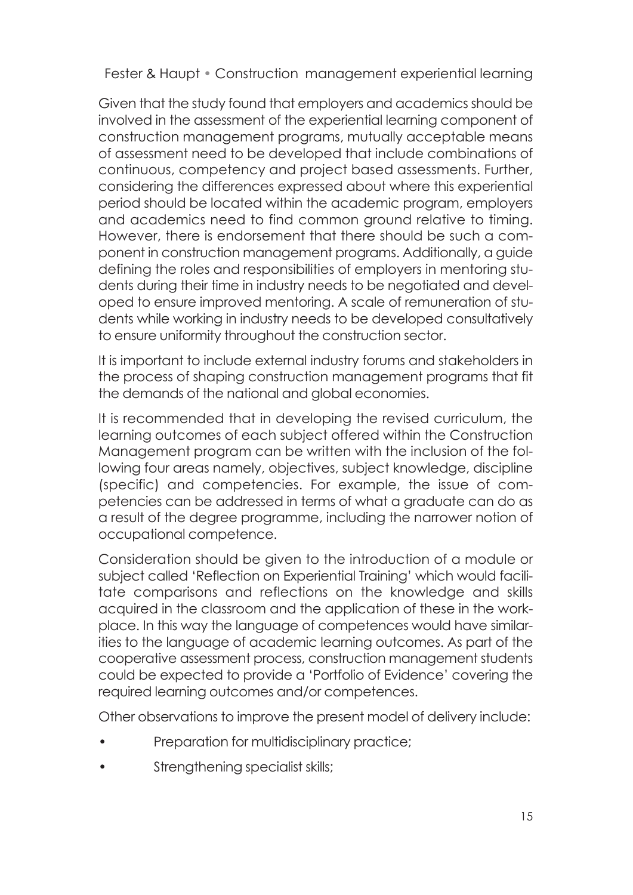Given that the study found that employers and academics should be involved in the assessment of the experiential learning component of construction management programs, mutually acceptable means of assessment need to be developed that include combinations of continuous, competency and project based assessments. Further, considering the differences expressed about where this experiential period should be located within the academic program, employers and academics need to find common ground relative to timing. However, there is endorsement that there should be such a component in construction management programs. Additionally, a guide defining the roles and responsibilities of employers in mentoring students during their time in industry needs to be negotiated and developed to ensure improved mentoring. A scale of remuneration of students while working in industry needs to be developed consultatively to ensure uniformity throughout the construction sector.

It is important to include external industry forums and stakeholders in the process of shaping construction management programs that fit the demands of the national and global economies.

It is recommended that in developing the revised curriculum, the learning outcomes of each subject offered within the Construction Management program can be written with the inclusion of the following four areas namely, objectives, subject knowledge, discipline (specific) and competencies. For example, the issue of competencies can be addressed in terms of what a graduate can do as a result of the degree programme, including the narrower notion of occupational competence.

Consideration should be given to the introduction of a module or subject called 'Reflection on Experiential Training' which would facilitate comparisons and reflections on the knowledge and skills acquired in the classroom and the application of these in the workplace. In this way the language of competences would have similarities to the language of academic learning outcomes. As part of the cooperative assessment process, construction management students could be expected to provide a 'Portfolio of Evidence' covering the required learning outcomes and/or competences.

Other observations to improve the present model of delivery include:

- Preparation for multidisciplinary practice;
- Strengthening specialist skills;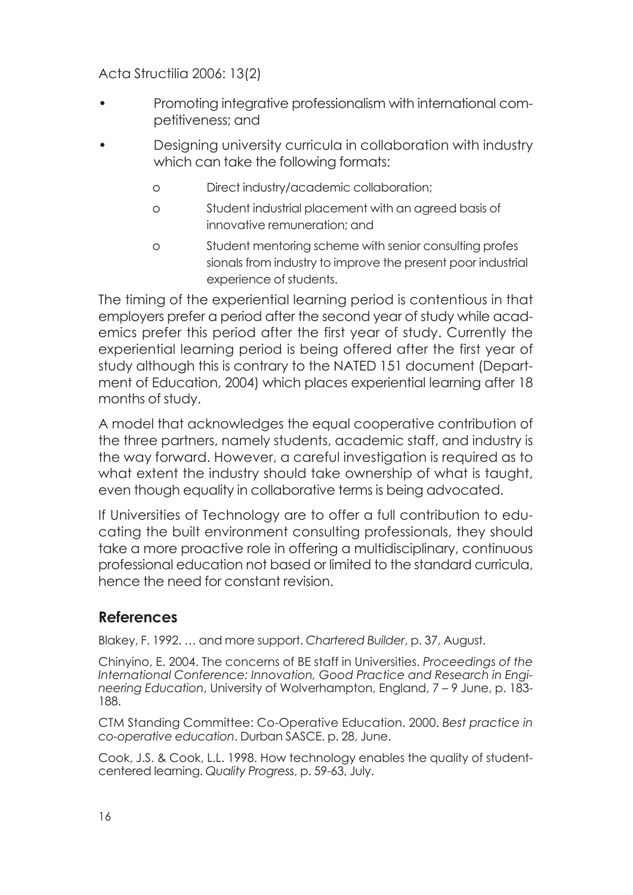- Promoting integrative professionalism with international competitiveness; and
- Designing university curricula in collaboration with industry which can take the following formats:
	- o Direct industry/academic collaboration;
	- o Student industrial placement with an agreed basis of innovative remuneration; and
	- o Student mentoring scheme with senior consulting profes sionals from industry to improve the present poor industrial experience of students.

The timing of the experiential learning period is contentious in that employers prefer a period after the second year of study while academics prefer this period after the first year of study. Currently the experiential learning period is being offered after the first year of study although this is contrary to the NATED 151 document (Department of Education, 2004) which places experiential learning after 18 months of study.

A model that acknowledges the equal cooperative contribution of the three partners, namely students, academic staff, and industry is the way forward. However, a careful investigation is required as to what extent the industry should take ownership of what is taught, even though equality in collaborative terms is being advocated.

If Universities of Technology are to offer a full contribution to educating the built environment consulting professionals, they should take a more proactive role in offering a multidisciplinary, continuous professional education not based or limited to the standard curricula, hence the need for constant revision.

## **References**

Blakey, F. 1992. … and more support. *Chartered Builder*, p. 37, August.

Chinyino, E. 2004. The concerns of BE staff in Universities. *Proceedings of the International Conference: Innovation, Good Practice and Research in Engineering Education*, University of Wolverhampton, England, 7 – 9 June, p. 183- 188.

CTM Standing Committee: Co-Operative Education. 2000. *Best practice in co-operative education*. Durban SASCE. p. 28, June.

Cook, J.S. & Cook, L.L. 1998. How technology enables the quality of studentcentered learning. *Quality Progress*, p. 59-63, July.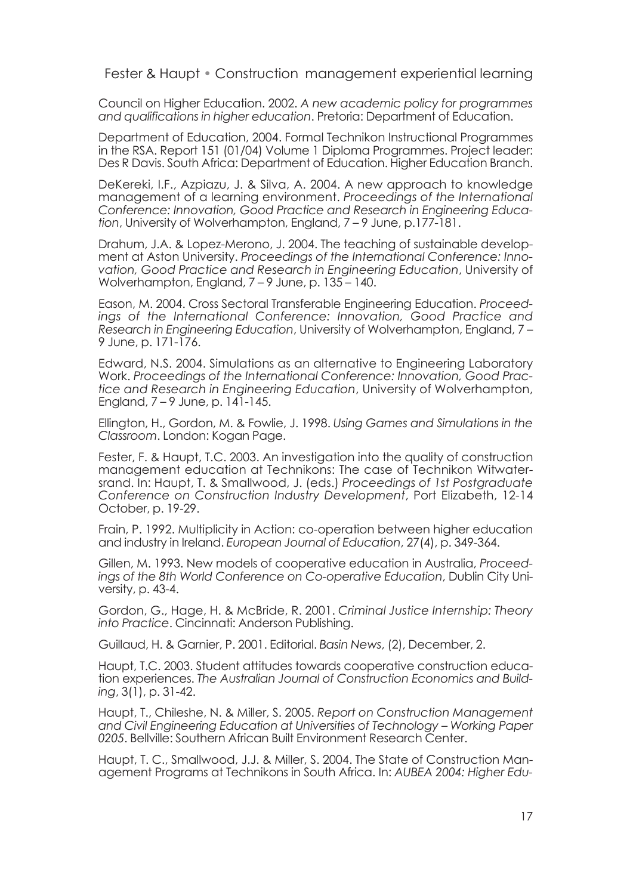Council on Higher Education. 2002. *A new academic policy for programmes and qualifications in higher education*. Pretoria: Department of Education.

Department of Education, 2004. Formal Technikon Instructional Programmes in the RSA. Report 151 (01/04) Volume 1 Diploma Programmes. Project leader: Des R Davis. South Africa: Department of Education. Higher Education Branch.

DeKereki, I.F., Azpiazu, J. & Silva, A. 2004. A new approach to knowledge management of a learning environment. *Proceedings of the International Conference: Innovation, Good Practice and Research in Engineering Education*, University of Wolverhampton, England, 7 – 9 June, p.177-181.

Drahum, J.A. & Lopez-Merono, J. 2004. The teaching of sustainable development at Aston University. *Proceedings of the International Conference: Innovation, Good Practice and Research in Engineering Education*, University of Wolverhampton, England, 7 – 9 June, p. 135 – 140.

Eason, M. 2004. Cross Sectoral Transferable Engineering Education. *Proceedings of the International Conference: Innovation, Good Practice and Research in Engineering Education*, University of Wolverhampton, England, 7 – 9 June, p. 171-176.

Edward, N.S. 2004. Simulations as an alternative to Engineering Laboratory Work. *Proceedings of the International Conference: Innovation, Good Practice and Research in Engineering Education*, University of Wolverhampton, England,  $7 - 9$  June, p.  $14\overline{1} - 145$ .

Ellington, H., Gordon, M. & Fowlie, J. 1998. *Using Games and Simulations in the Classroom*. London: Kogan Page.

Fester, F. & Haupt, T.C. 2003. An investigation into the quality of construction management education at Technikons: The case of Technikon Witwatersrand. In: Haupt, T. & Smallwood, J. (eds.) *Proceedings of 1st Postgraduate Conference on Construction Industry Development*, Port Elizabeth, 12-14 October, p. 19-29.

Frain, P. 1992. Multiplicity in Action: co-operation between higher education and industry in Ireland. *European Journal of Education*, 27(4), p. 349-364.

Gillen, M. 1993. New models of cooperative education in Australia, *Proceedings of the 8th World Conference on Co-operative Education*, Dublin City University, p. 43-4.

Gordon, G., Hage, H. & McBride, R. 2001. *Criminal Justice Internship: Theory into Practice*. Cincinnati: Anderson Publishing.

Guillaud, H. & Garnier, P. 2001. Editorial. *Basin News*, (2), December, 2.

Haupt, T.C. 2003. Student attitudes towards cooperative construction education experiences. *The Australian Journal of Construction Economics and Building*, 3(1), p. 31-42.

Haupt, T., Chileshe, N. & Miller, S. 2005. *Report on Construction Management and Civil Engineering Education at Universities of Technology – Working Paper 0205*. Bellville: Southern African Built Environment Research Center.

Haupt, T. C., Smallwood, J.J. & Miller, S. 2004. The State of Construction Management Programs at Technikons in South Africa. In: *AUBEA 2004: Higher Edu-*